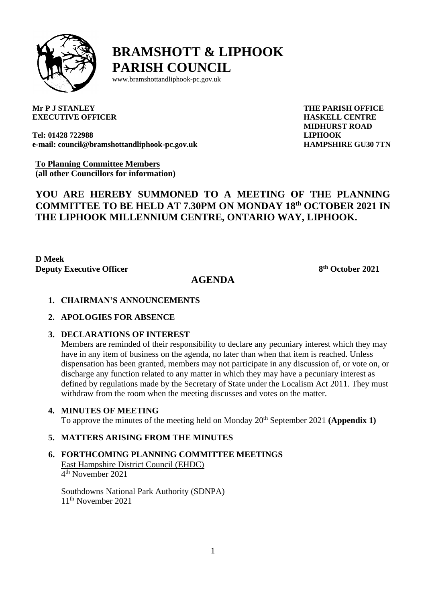

# **BRAMSHOTT & LIPHOOK PARISH COUNCIL**

[www.bramshottandl](http://www.bramshottand/)iphook-pc.gov.uk

**Mr P J STANLEY EXECUTIVE OFFICER** **THE PARISH OFFICE HASKELL CENTRE MIDHURST ROAD LIPHOOK HAMPSHIRE GU30 7TN**

**Tel: 01428 722988 e-mail: [council@bramshottandliphook-pc.gov.uk](mailto:council@bramshottandliphook-pc.gov.uk)**

**To Planning Committee Members (all other Councillors for information)**

# **YOU ARE HEREBY SUMMONED TO A MEETING OF THE PLANNING COMMITTEE TO BE HELD AT 7.30PM ON MONDAY 18 th OCTOBER 2021 IN THE LIPHOOK MILLENNIUM CENTRE, ONTARIO WAY, LIPHOOK.**

**D Meek Deputy Executive Officer 8**

**th October 2021**

## **AGENDA**

- **1. CHAIRMAN'S ANNOUNCEMENTS**
- **2. APOLOGIES FOR ABSENCE**
- **3. DECLARATIONS OF INTEREST**

Members are reminded of their responsibility to declare any pecuniary interest which they may have in any item of business on the agenda, no later than when that item is reached. Unless dispensation has been granted, members may not participate in any discussion of, or vote on, or discharge any function related to any matter in which they may have a pecuniary interest as defined by regulations made by the Secretary of State under the Localism Act 2011. They must withdraw from the room when the meeting discusses and votes on the matter.

#### **4. MINUTES OF MEETING**

To approve the minutes of the meeting held on Monday 20th September 2021 **(Appendix 1)**

### **5. MATTERS ARISING FROM THE MINUTES**

**6. FORTHCOMING PLANNING COMMITTEE MEETINGS**

East Hampshire District Council (EHDC) 4 th November 2021

Southdowns National Park Authority (SDNPA) 11th November 2021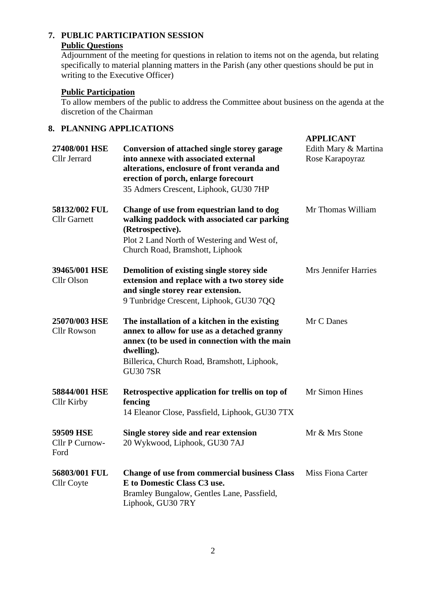#### **7. PUBLIC PARTICIPATION SESSION Public Questions**

Adjournment of the meeting for questions in relation to items not on the agenda, but relating specifically to material planning matters in the Parish (any other questions should be put in writing to the Executive Officer)

#### **Public Participation**

To allow members of the public to address the Committee about business on the agenda at the discretion of the Chairman

#### **8. PLANNING APPLICATIONS**

| 27408/001 HSE<br>Cllr Jerrard        | Conversion of attached single storey garage<br>into annexe with associated external<br>alterations, enclosure of front veranda and<br>erection of porch, enlarge forecourt<br>35 Admers Crescent, Liphook, GU30 7HP           | <b>APPLICANT</b><br>Edith Mary & Martina<br>Rose Karapoyraz |
|--------------------------------------|-------------------------------------------------------------------------------------------------------------------------------------------------------------------------------------------------------------------------------|-------------------------------------------------------------|
| 58132/002 FUL<br><b>Cllr Garnett</b> | Change of use from equestrian land to dog<br>walking paddock with associated car parking<br>(Retrospective).<br>Plot 2 Land North of Westering and West of,<br>Church Road, Bramshott, Liphook                                | Mr Thomas William                                           |
| 39465/001 HSE<br>Cllr Olson          | Demolition of existing single storey side<br>extension and replace with a two storey side<br>and single storey rear extension.<br>9 Tunbridge Crescent, Liphook, GU30 7QQ                                                     | Mrs Jennifer Harries                                        |
| 25070/003 HSE<br><b>Cllr Rowson</b>  | The installation of a kitchen in the existing<br>annex to allow for use as a detached granny<br>annex (to be used in connection with the main<br>dwelling).<br>Billerica, Church Road, Bramshott, Liphook,<br><b>GU30 7SR</b> | Mr C Danes                                                  |
| 58844/001 HSE<br><b>Cllr Kirby</b>   | Retrospective application for trellis on top of<br>fencing<br>14 Eleanor Close, Passfield, Liphook, GU30 7TX                                                                                                                  | Mr Simon Hines                                              |
| 59509 HSE<br>Cllr P Curnow-<br>Ford  | Single storey side and rear extension<br>20 Wykwood, Liphook, GU30 7AJ                                                                                                                                                        | Mr & Mrs Stone                                              |
| 56803/001 FUL<br>Cllr Coyte          | <b>Change of use from commercial business Class</b><br>E to Domestic Class C3 use.<br>Bramley Bungalow, Gentles Lane, Passfield,<br>Liphook, GU30 7RY                                                                         | <b>Miss Fiona Carter</b>                                    |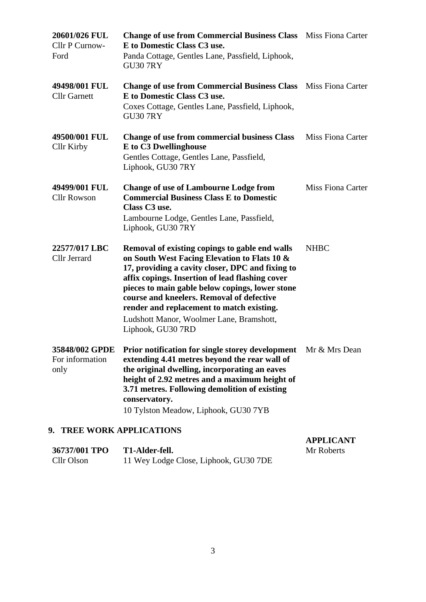| 20601/026 FUL<br>Cllr P Curnow-<br>Ford | <b>Change of use from Commercial Business Class</b> Miss Fiona Carter<br>E to Domestic Class C3 use.<br>Panda Cottage, Gentles Lane, Passfield, Liphook,<br><b>GU30 7RY</b>                                                                                                                                                                                                                                         |                          |
|-----------------------------------------|---------------------------------------------------------------------------------------------------------------------------------------------------------------------------------------------------------------------------------------------------------------------------------------------------------------------------------------------------------------------------------------------------------------------|--------------------------|
| 49498/001 FUL<br><b>Cllr</b> Garnett    | <b>Change of use from Commercial Business Class</b> Miss Fiona Carter<br>E to Domestic Class C3 use.<br>Coxes Cottage, Gentles Lane, Passfield, Liphook,<br><b>GU30 7RY</b>                                                                                                                                                                                                                                         |                          |
| 49500/001 FUL<br>Cllr Kirby             | <b>Change of use from commercial business Class</b><br>E to C3 Dwellinghouse<br>Gentles Cottage, Gentles Lane, Passfield,<br>Liphook, GU30 7RY                                                                                                                                                                                                                                                                      | Miss Fiona Carter        |
| 49499/001 FUL<br><b>Cllr Rowson</b>     | <b>Change of use of Lambourne Lodge from</b><br><b>Commercial Business Class E to Domestic</b><br>Class C3 use.<br>Lambourne Lodge, Gentles Lane, Passfield,<br>Liphook, GU30 7RY                                                                                                                                                                                                                                   | <b>Miss Fiona Carter</b> |
| 22577/017 LBC<br>Cllr Jerrard           | Removal of existing copings to gable end walls<br>on South West Facing Elevation to Flats 10 &<br>17, providing a cavity closer, DPC and fixing to<br>affix copings. Insertion of lead flashing cover<br>pieces to main gable below copings, lower stone<br>course and kneelers. Removal of defective<br>render and replacement to match existing.<br>Ludshott Manor, Woolmer Lane, Bramshott,<br>Liphook, GU30 7RD | <b>NHBC</b>              |
| For information<br>only                 | 35848/002 GPDE Prior notification for single storey development Mr & Mrs Dean<br>extending 4.41 metres beyond the rear wall of<br>the original dwelling, incorporating an eaves<br>height of 2.92 metres and a maximum height of<br>3.71 metres. Following demolition of existing<br>conservatory.<br>10 Tylston Meadow, Liphook, GU30 7YB                                                                          |                          |

# **9. TREE WORK APPLICATIONS**

|               |                                       | <b>APPLICANT</b> |
|---------------|---------------------------------------|------------------|
| 36737/001 TPO | T1-Alder-fell.                        | Mr Roberts       |
| Cllr Olson    | 11 Wey Lodge Close, Liphook, GU30 7DE |                  |